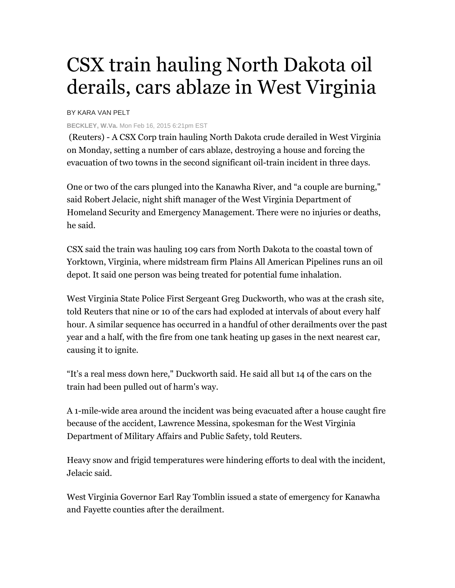## CSX train hauling North Dakota oil derails, cars ablaze in West Virginia

## BY KARA VAN PELT

## **BECKLEY, W.Va.** Mon Feb 16, 2015 6:21pm EST

 (Reuters) - A CSX Corp train hauling North Dakota crude derailed in West Virginia on Monday, setting a number of cars ablaze, destroying a house and forcing the evacuation of two towns in the second significant oil-train incident in three days.

One or two of the cars plunged into the Kanawha River, and "a couple are burning," said Robert Jelacic, night shift manager of the West Virginia Department of Homeland Security and Emergency Management. There were no injuries or deaths, he said.

CSX said the train was hauling 109 cars from North Dakota to the coastal town of Yorktown, Virginia, where midstream firm Plains All American Pipelines runs an oil depot. It said one person was being treated for potential fume inhalation.

West Virginia State Police First Sergeant Greg Duckworth, who was at the crash site, told Reuters that nine or 10 of the cars had exploded at intervals of about every half hour. A similar sequence has occurred in a handful of other derailments over the past year and a half, with the fire from one tank heating up gases in the next nearest car, causing it to ignite.

"It's a real mess down here," Duckworth said. He said all but 14 of the cars on the train had been pulled out of harm's way.

A 1-mile-wide area around the incident was being evacuated after a house caught fire because of the accident, Lawrence Messina, spokesman for the West Virginia Department of Military Affairs and Public Safety, told Reuters.

Heavy snow and frigid temperatures were hindering efforts to deal with the incident, Jelacic said.

West Virginia Governor Earl Ray Tomblin issued a state of emergency for Kanawha and Fayette counties after the derailment.